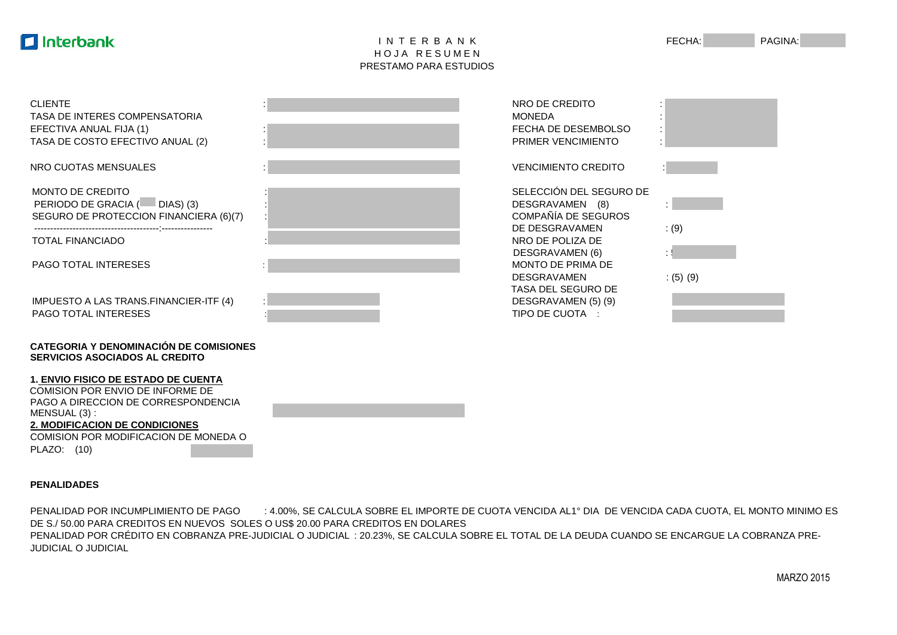## **Interbank**

## I N T E R B A N K FECHA: PAGINA: HOJA RESUMEN PRESTAMO PARA ESTUDIOS

| <b>CLIENTE</b><br>TASA DE INTERES COMPENSATORIA<br>EFECTIVA ANUAL FIJA (1)<br>TASA DE COSTO EFECTIVO ANUAL (2) | NRO DE CREDITO<br><b>MONEDA</b><br>FECHA DE DESEMBOLSO<br><b>PRIMER VENCIMIENTO</b> |        |
|----------------------------------------------------------------------------------------------------------------|-------------------------------------------------------------------------------------|--------|
| NRO CUOTAS MENSUALES                                                                                           | <b>VENCIMIENTO CREDITO</b>                                                          |        |
| MONTO DE CREDITO<br>PERIODO DE GRACIA ( DIAS) (3)<br>SEGURO DE PROTECCION FINANCIERA (6)(7)                    | SELECCIÓN DEL SEGURO DE<br>DESGRAVAMEN (8)<br>COMPAÑÍA DE SEGUROS                   |        |
| <b>TOTAL FINANCIADO</b>                                                                                        | DE DESGRAVAMEN<br>NRO DE POLIZA DE                                                  | (9)    |
| <b>PAGO TOTAL INTERESES</b>                                                                                    | DESGRAVAMEN (6)<br>MONTO DE PRIMA DE<br><b>DESGRAVAMEN</b>                          | (5)(9) |
| IMPUESTO A LAS TRANS.FINANCIER-ITF (4)<br><b>PAGO TOTAL INTERESES</b>                                          | <b>TASA DEL SEGURO DE</b><br>DESGRAVAMEN (5) (9)<br>TIPO DE CUOTA :                 |        |
| <b>CATEGORIA Y DENOMINACIÓN DE COMISIONES</b><br><b>SERVICIOS ASOCIADOS AL CREDITO</b>                         |                                                                                     |        |
| <b>1. ENVIO FISICO DE ESTADO DE CUENTA</b>                                                                     |                                                                                     |        |

**PENALIDADES**

MENSUAL (3) :

PLAZO: (10)

COMISION POR ENVIO DE INFORME DE PAGO A DIRECCION DE CORRESPONDENCIA

COMISION POR MODIFICACION DE MONEDA O

**2. MODIFICACION DE CONDICIONES**

PENALIDAD POR INCUMPLIMIENTO DE PAGO : 4.00%, SE CALCULA SOBRE EL IMPORTE DE CUOTA VENCIDA AL1° DIA DE VENCIDA CADA CUOTA, EL MONTO MINIMO ES DE S./ 50.00 PARA CREDITOS EN NUEVOS SOLES O US\$ 20.00 PARA CREDITOS EN DOLARES PENALIDAD POR CRÉDITO EN COBRANZA PRE-JUDICIAL O JUDICIAL : 20.23%, SE CALCULA SOBRE EL TOTAL DE LA DEUDA CUANDO SE ENCARGUE LA COBRANZA PRE-JUDICIAL O JUDICIAL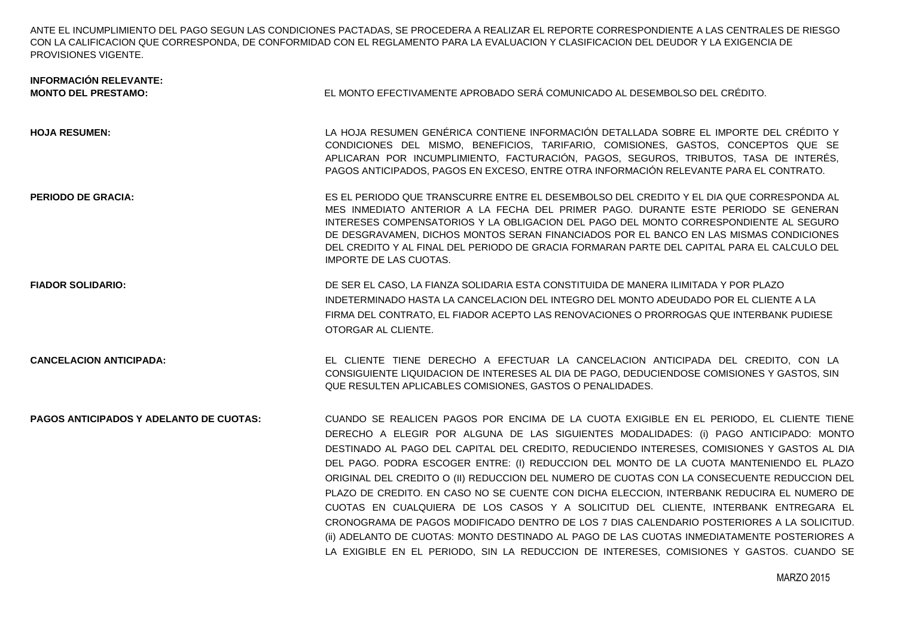ANTE EL INCUMPLIMIENTO DEL PAGO SEGUN LAS CONDICIONES PACTADAS, SE PROCEDERA A REALIZAR EL REPORTE CORRESPONDIENTE A LAS CENTRALES DE RIESGO CON LA CALIFICACION QUE CORRESPONDA, DE CONFORMIDAD CON EL REGLAMENTO PARA LA EVALUACION Y CLASIFICACION DEL DEUDOR Y LA EXIGENCIA DE PROVISIONES VIGENTE.

| <b>INFORMACIÓN RELEVANTE:</b><br><b>MONTO DEL PRESTAMO:</b> | EL MONTO EFECTIVAMENTE APROBADO SERÁ COMUNICADO AL DESEMBOLSO DEL CRÉDITO.                                                                                                                                                                                                                                                                                                                                                                                                                                                                                                                                                                                                                                                                                                                                                                                                                                                                               |
|-------------------------------------------------------------|----------------------------------------------------------------------------------------------------------------------------------------------------------------------------------------------------------------------------------------------------------------------------------------------------------------------------------------------------------------------------------------------------------------------------------------------------------------------------------------------------------------------------------------------------------------------------------------------------------------------------------------------------------------------------------------------------------------------------------------------------------------------------------------------------------------------------------------------------------------------------------------------------------------------------------------------------------|
| <b>HOJA RESUMEN:</b>                                        | LA HOJA RESUMEN GENÉRICA CONTIENE INFORMACIÓN DETALLADA SOBRE EL IMPORTE DEL CRÉDITO Y<br>CONDICIONES DEL MISMO, BENEFICIOS, TARIFARIO, COMISIONES, GASTOS, CONCEPTOS QUE SE<br>APLICARAN POR INCUMPLIMIENTO, FACTURACIÓN, PAGOS, SEGUROS, TRIBUTOS, TASA DE INTERÉS,<br>PAGOS ANTICIPADOS, PAGOS EN EXCESO, ENTRE OTRA INFORMACIÓN RELEVANTE PARA EL CONTRATO.                                                                                                                                                                                                                                                                                                                                                                                                                                                                                                                                                                                          |
| <b>PERIODO DE GRACIA:</b>                                   | ES EL PERIODO QUE TRANSCURRE ENTRE EL DESEMBOLSO DEL CREDITO Y EL DIA QUE CORRESPONDA AL<br>MES INMEDIATO ANTERIOR A LA FECHA DEL PRIMER PAGO. DURANTE ESTE PERIODO SE GENERAN<br>INTERESES COMPENSATORIOS Y LA OBLIGACION DEL PAGO DEL MONTO CORRESPONDIENTE AL SEGURO<br>DE DESGRAVAMEN. DICHOS MONTOS SERAN FINANCIADOS POR EL BANCO EN LAS MISMAS CONDICIONES<br>DEL CREDITO Y AL FINAL DEL PERIODO DE GRACIA FORMARAN PARTE DEL CAPITAL PARA EL CALCULO DEL<br><b>IMPORTE DE LAS CUOTAS.</b>                                                                                                                                                                                                                                                                                                                                                                                                                                                        |
| <b>FIADOR SOLIDARIO:</b>                                    | DE SER EL CASO, LA FIANZA SOLIDARIA ESTA CONSTITUIDA DE MANERA ILIMITADA Y POR PLAZO<br>INDETERMINADO HASTA LA CANCELACION DEL INTEGRO DEL MONTO ADEUDADO POR EL CLIENTE A LA<br>FIRMA DEL CONTRATO. EL FIADOR ACEPTO LAS RENOVACIONES O PRORROGAS QUE INTERBANK PUDIESE<br>OTORGAR AL CLIENTE.                                                                                                                                                                                                                                                                                                                                                                                                                                                                                                                                                                                                                                                          |
| <b>CANCELACION ANTICIPADA:</b>                              | EL CLIENTE TIENE DERECHO A EFECTUAR LA CANCELACION ANTICIPADA DEL CREDITO, CON LA<br>CONSIGUIENTE LIQUIDACION DE INTERESES AL DIA DE PAGO, DEDUCIENDOSE COMISIONES Y GASTOS, SIN<br>QUE RESULTEN APLICABLES COMISIONES, GASTOS O PENALIDADES.                                                                                                                                                                                                                                                                                                                                                                                                                                                                                                                                                                                                                                                                                                            |
| <b>PAGOS ANTICIPADOS Y ADELANTO DE CUOTAS:</b>              | CUANDO SE REALICEN PAGOS POR ENCIMA DE LA CUOTA EXIGIBLE EN EL PERIODO, EL CLIENTE TIENE<br>DERECHO A ELEGIR POR ALGUNA DE LAS SIGUIENTES MODALIDADES: (i) PAGO ANTICIPADO: MONTO<br>DESTINADO AL PAGO DEL CAPITAL DEL CREDITO, REDUCIENDO INTERESES, COMISIONES Y GASTOS AL DIA<br>DEL PAGO. PODRA ESCOGER ENTRE: (I) REDUCCION DEL MONTO DE LA CUOTA MANTENIENDO EL PLAZO<br>ORIGINAL DEL CREDITO O (II) REDUCCION DEL NUMERO DE CUOTAS CON LA CONSECUENTE REDUCCION DEL<br>PLAZO DE CREDITO. EN CASO NO SE CUENTE CON DICHA ELECCION, INTERBANK REDUCIRA EL NUMERO DE<br>CUOTAS EN CUALQUIERA DE LOS CASOS Y A SOLICITUD DEL CLIENTE, INTERBANK ENTREGARA EL<br>CRONOGRAMA DE PAGOS MODIFICADO DENTRO DE LOS 7 DIAS CALENDARIO POSTERIORES A LA SOLICITUD.<br>(ii) ADELANTO DE CUOTAS: MONTO DESTINADO AL PAGO DE LAS CUOTAS INMEDIATAMENTE POSTERIORES A<br>LA EXIGIBLE EN EL PERIODO, SIN LA REDUCCION DE INTERESES, COMISIONES Y GASTOS. CUANDO SE |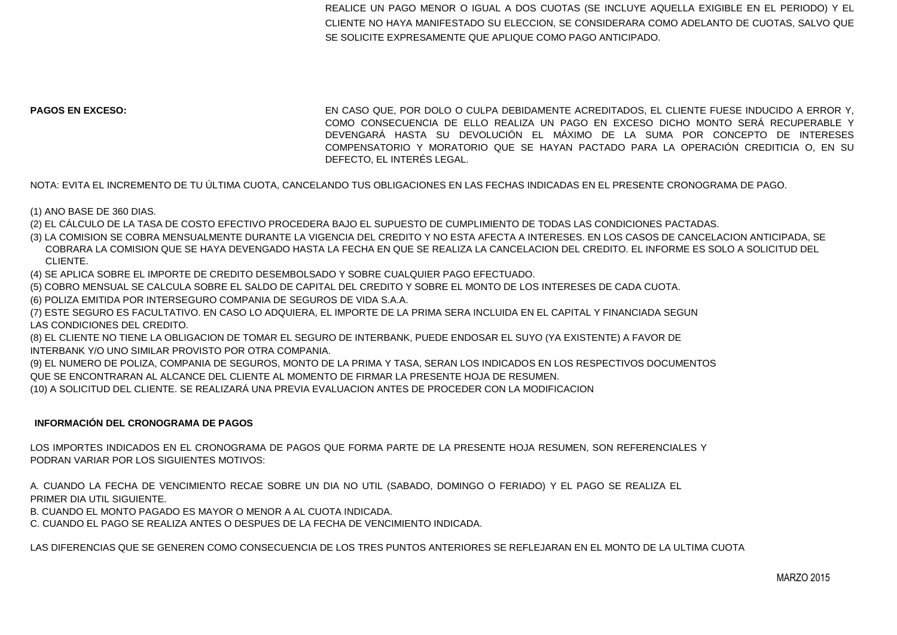REALICE UN PAGO MENOR O IGUAL A DOS CUOTAS (SE INCLUYE AQUELLA EXIGIBLE EN EL PERIODO) Y EL CLIENTE NO HAYA MANIFESTADO SU ELECCION, SE CONSIDERARA COMO ADELANTO DE CUOTAS, SALVO QUE SE SOLICITE EXPRESAMENTE QUE APLIQUE COMO PAGO ANTICIPADO.

**PAGOS EN EXCESO:** EN CASO QUE, POR DOLO O CULPA DEBIDAMENTE ACREDITADOS, EL CLIENTE FUESE INDUCIDO A ERROR Y, COMO CONSECUENCIA DE ELLO REALIZA UN PAGO EN EXCESO DICHO MONTO SERÁ RECUPERABLE Y DEVENGARÁ HASTA SU DEVOLUCIÓN EL MÁXIMO DE LA SUMA POR CONCEPTO DE INTERESES COMPENSATORIO Y MORATORIO QUE SE HAYAN PACTADO PARA LA OPERACIÓN CREDITICIA O, EN SU DEFECTO, EL INTERÉS LEGAL.

NOTA: EVITA EL INCREMENTO DE TU ÚLTIMA CUOTA, CANCELANDO TUS OBLIGACIONES EN LAS FECHAS INDICADAS EN EL PRESENTE CRONOGRAMA DE PAGO.

(1) ANO BASE DE 360 DIAS.

(2) EL CÁLCULO DE LA TASA DE COSTO EFECTIVO PROCEDERA BAJO EL SUPUESTO DE CUMPLIMIENTO DE TODAS LAS CONDICIONES PACTADAS.

(3) LA COMISION SE COBRA MENSUALMENTE DURANTE LA VIGENCIA DEL CREDITO Y NO ESTA AFECTA A INTERESES. EN LOS CASOS DE CANCELACION ANTICIPADA, SE COBRARA LA COMISION QUE SE HAYA DEVENGADO HASTA LA FECHA EN QUE SE REALIZA LA CANCELACION DEL CREDITO. EL INFORME ES SOLO A SOLICITUD DEL CLIENTE.

(4) SE APLICA SOBRE EL IMPORTE DE CREDITO DESEMBOLSADO Y SOBRE CUALQUIER PAGO EFECTUADO.

(5) COBRO MENSUAL SE CALCULA SOBRE EL SALDO DE CAPITAL DEL CREDITO Y SOBRE EL MONTO DE LOS INTERESES DE CADA CUOTA.

- (6) POLIZA EMITIDA POR INTERSEGURO COMPANIA DE SEGUROS DE VIDA S.A.A.
- (7) ESTE SEGURO ES FACULTATIVO. EN CASO LO ADQUIERA, EL IMPORTE DE LA PRIMA SERA INCLUIDA EN EL CAPITAL Y FINANCIADA SEGUN LAS CONDICIONES DEL CREDITO.

(8) EL CLIENTE NO TIENE LA OBLIGACION DE TOMAR EL SEGURO DE INTERBANK, PUEDE ENDOSAR EL SUYO (YA EXISTENTE) A FAVOR DE INTERBANK Y/O UNO SIMILAR PROVISTO POR OTRA COMPANIA.

(9) EL NUMERO DE POLIZA, COMPANIA DE SEGUROS, MONTO DE LA PRIMA Y TASA, SERAN LOS INDICADOS EN LOS RESPECTIVOS DOCUMENTOS QUE SE ENCONTRARAN AL ALCANCE DEL CLIENTE AL MOMENTO DE FIRMAR LA PRESENTE HOJA DE RESUMEN.

(10) A SOLICITUD DEL CLIENTE. SE REALIZARÁ UNA PREVIA EVALUACION ANTES DE PROCEDER CON LA MODIFICACION

## **INFORMACIÓN DEL CRONOGRAMA DE PAGOS**

LOS IMPORTES INDICADOS EN EL CRONOGRAMA DE PAGOS QUE FORMA PARTE DE LA PRESENTE HOJA RESUMEN, SON REFERENCIALES Y PODRAN VARIAR POR LOS SIGUIENTES MOTIVOS:

A. CUANDO LA FECHA DE VENCIMIENTO RECAE SOBRE UN DIA NO UTIL (SABADO, DOMINGO O FERIADO) Y EL PAGO SE REALIZA EL PRIMER DIA UTIL SIGUIENTE. B. CUANDO EL MONTO PAGADO ES MAYOR O MENOR A AL CUOTA INDICADA.

C. CUANDO EL PAGO SE REALIZA ANTES O DESPUES DE LA FECHA DE VENCIMIENTO INDICADA.

LAS DIFERENCIAS QUE SE GENEREN COMO CONSECUENCIA DE LOS TRES PUNTOS ANTERIORES SE REFLEJARAN EN EL MONTO DE LA ULTIMA CUOTA